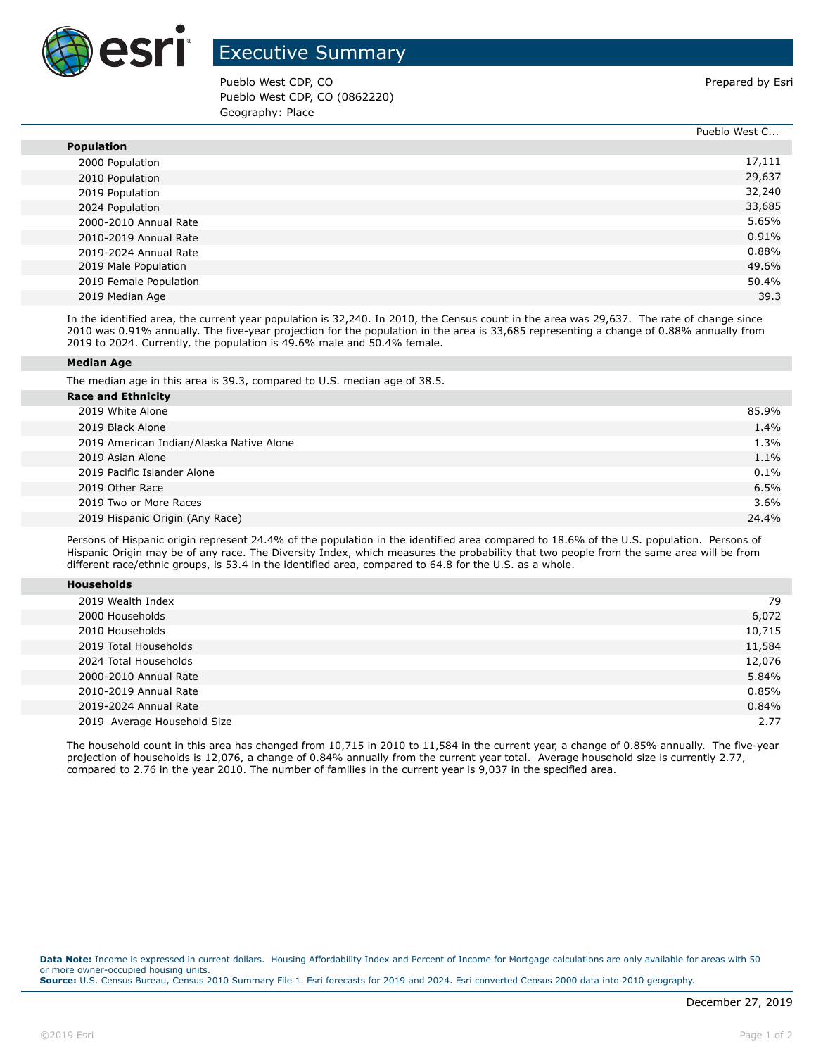

## Executive Summary

Pueblo West CDP, CO **Prepared by Estimate Act 2018** Prepared by Esri Pueblo West CDP, CO (0862220) Geography: Place

Pueblo West C...

|                        | PUBDIO WEST C |
|------------------------|---------------|
| <b>Population</b>      |               |
| 2000 Population        | 17,111        |
| 2010 Population        | 29,637        |
| 2019 Population        | 32,240        |
| 2024 Population        | 33,685        |
| 2000-2010 Annual Rate  | 5.65%         |
| 2010-2019 Annual Rate  | 0.91%         |
| 2019-2024 Annual Rate  | 0.88%         |
| 2019 Male Population   | 49.6%         |
| 2019 Female Population | 50.4%         |
| 2019 Median Age        | 39.3          |

In the identified area, the current year population is 32,240. In 2010, the Census count in the area was 29,637. The rate of change since 2010 was 0.91% annually. The five-year projection for the population in the area is 33,685 representing a change of 0.88% annually from 2019 to 2024. Currently, the population is 49.6% male and 50.4% female.

## **Median Age**

The median age in this area is 39.3, compared to U.S. median age of 38.5.

| <b>Race and Ethnicity</b>                |         |
|------------------------------------------|---------|
| 2019 White Alone                         | 85.9%   |
| 2019 Black Alone                         | 1.4%    |
| 2019 American Indian/Alaska Native Alone | 1.3%    |
| 2019 Asian Alone                         | 1.1%    |
| 2019 Pacific Islander Alone              | $0.1\%$ |
| 2019 Other Race                          | 6.5%    |
| 2019 Two or More Races                   | $3.6\%$ |
| 2019 Hispanic Origin (Any Race)          | 24.4%   |
|                                          |         |

Persons of Hispanic origin represent 24.4% of the population in the identified area compared to 18.6% of the U.S. population. Persons of Hispanic Origin may be of any race. The Diversity Index, which measures the probability that two people from the same area will be from different race/ethnic groups, is 53.4 in the identified area, compared to 64.8 for the U.S. as a whole.

| <b>Households</b> |
|-------------------|
|-------------------|

| 2019 Wealth Index           | 79     |
|-----------------------------|--------|
| 2000 Households             | 6,072  |
| 2010 Households             | 10,715 |
| 2019 Total Households       | 11,584 |
| 2024 Total Households       | 12,076 |
| 2000-2010 Annual Rate       | 5.84%  |
| 2010-2019 Annual Rate       | 0.85%  |
| 2019-2024 Annual Rate       | 0.84%  |
| 2019 Average Household Size | 2.77   |

The household count in this area has changed from 10,715 in 2010 to 11,584 in the current year, a change of 0.85% annually. The five-year projection of households is 12,076, a change of 0.84% annually from the current year total. Average household size is currently 2.77, compared to 2.76 in the year 2010. The number of families in the current year is 9,037 in the specified area.

**Data Note:** Income is expressed in current dollars. Housing Affordability Index and Percent of Income for Mortgage calculations are only available for areas with 50 or more owner-occupied housing units. **Source:** U.S. Census Bureau, Census 2010 Summary File 1. Esri forecasts for 2019 and 2024. Esri converted Census 2000 data into 2010 geography.